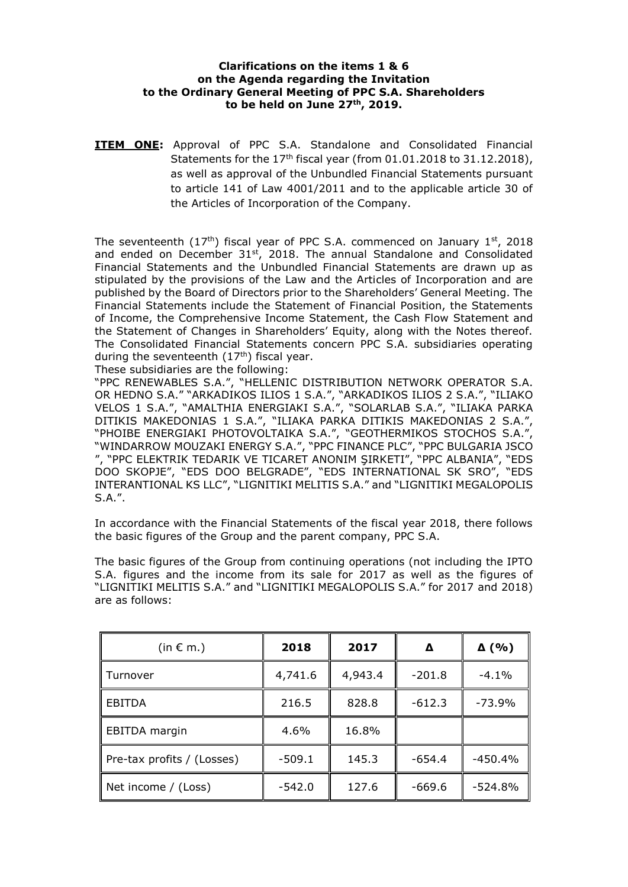## **Clarifications on the items 1 & 6 on the Agenda regarding the Invitation to the Ordinary General Meeting of PPC S.A. Shareholders to be held on June 27th, 2019.**

**ITEM ONE:** Approval of PPC S.A. Standalone and Consolidated Financial Statements for the  $17<sup>th</sup>$  fiscal year (from 01.01.2018 to 31.12.2018), as well as approval of the Unbundled Financial Statements pursuant to article 141 of Law 4001/2011 and to the applicable article 30 of the Articles of Incorporation of the Company.

The seventeenth  $(17<sup>th</sup>)$  fiscal year of PPC S.A. commenced on January  $1<sup>st</sup>$ , 2018 and ended on December 31<sup>st</sup>, 2018. The annual Standalone and Consolidated Financial Statements and the Unbundled Financial Statements are drawn up as stipulated by the provisions of the Law and the Articles of Incorporation and are published by the Board of Directors prior to the Shareholders' General Meeting. The Financial Statements include the Statement of Financial Position, the Statements of Income, the Comprehensive Income Statement, the Cash Flow Statement and the Statement of Changes in Shareholders' Equity, along with the Notes thereof. The Consolidated Financial Statements concern PPC S.A. subsidiaries operating during the seventeenth  $(17<sup>th</sup>)$  fiscal year.

These subsidiaries are the following:

"PPC RENEWABLES S.A.", "HELLENIC DISTRIBUTION NETWORK OPERATOR S.A. OR HEDNO S.A." "ARKADIKOS ILIOS 1 S.A.", "ARKADIKOS ILIOS 2 S.A.", "ILIAKO VELOS 1 S.A.", "AMALTHIA ENERGIAKI S.A.", "SOLARLAB S.A.", "ILIAKA PARKA DITIKIS MAKEDONIAS 1 S.A.", "ILIAKA PARKA DITIKIS MAKEDONIAS 2 S.A.", "PHOIBE ENERGIAKI PHOTOVOLTAIKA S.A.", "GEOTHERMIKOS STOCHOS S.A.", "WINDARROW MOUZAKI ENERGY S.A.", "PPC FINANCE PLC", "PPC BULGARIA JSCO ", "PPC ELEKTRIK TEDARIK VE TICARET ANONIM ŞIRKETI", "PPC ALBANIA", "EDS DOO SKOPJE", "EDS DOO BELGRADE", "EDS INTERNATIONAL SK SRO", "EDS INTERANTIONAL KS LLC", "LIGNITIKI MELITIS S.A." and "LIGNITIKI MEGALOPOLIS S.A.".

In accordance with the Financial Statements of the fiscal year 2018, there follows the basic figures of the Group and the parent company, PPC S.A.

The basic figures of the Group from continuing operations (not including the IPTO S.A. figures and the income from its sale for 2017 as well as the figures of "LIGNITIKI MELITIS S.A." and "LIGNITIKI MEGALOPOLIS S.A." for 2017 and 2018) are as follows:

| (in $\epsilon$ m.)         | 2018     | 2017    | Δ        | $\Delta$ (%) |
|----------------------------|----------|---------|----------|--------------|
| Turnover                   | 4,741.6  | 4,943.4 | $-201.8$ | $-4.1\%$     |
| <b>EBITDA</b>              | 216.5    | 828.8   | $-612.3$ | $-73.9%$     |
| EBITDA margin              | 4.6%     | 16.8%   |          |              |
| Pre-tax profits / (Losses) | $-509.1$ | 145.3   | $-654.4$ | $-450.4%$    |
| Net income / (Loss)        | $-542.0$ | 127.6   | $-669.6$ | $-524.8%$    |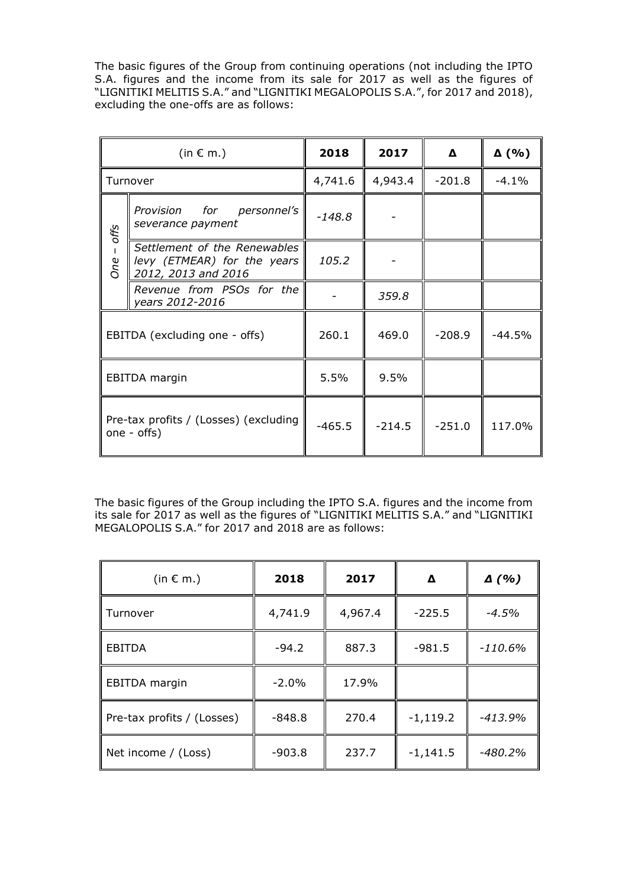The basic figures of the Group from continuing operations (not including the IPTO S.A. figures and the income from its sale for 2017 as well as the figures of "LIGNITIKI MELITIS S.A." and "LIGNITIKI MEGALOPOLIS S.A.", for 2017 and 2018), excluding the one-offs are as follows:

|      | (in $\epsilon$ m.)                                                                 | 2018     | 2017     | Δ        | $\Delta$ (%) |
|------|------------------------------------------------------------------------------------|----------|----------|----------|--------------|
|      | Turnover                                                                           | 4,741.6  | 4,943.4  | $-201.8$ | $-4.1\%$     |
| offs | Provision for personnel's<br>severance payment                                     | $-148.8$ |          |          |              |
| One  | Settlement of the Renewables<br>levy (ETMEAR) for the years<br>2012, 2013 and 2016 | 105.2    |          |          |              |
|      | Revenue from PSOs for the<br>years 2012-2016                                       |          | 359.8    |          |              |
|      | EBITDA (excluding one - offs)                                                      | 260.1    | 469.0    | $-208.9$ | $-44.5%$     |
|      | EBITDA margin                                                                      | 5.5%     | 9.5%     |          |              |
|      | Pre-tax profits / (Losses) (excluding<br>one - offs)                               | $-465.5$ | $-214.5$ | $-251.0$ | 117.0%       |

The basic figures of the Group including the IPTO S.A. figures and the income from its sale for 2017 as well as the figures of "LIGNITIKI MELITIS S.A." and "LIGNITIKI MEGALOPOLIS S.A." for 2017 and 2018 are as follows:

| (in $\epsilon$ m.)         | 2018     | 2017    | Δ          | $\Delta$ (%) |
|----------------------------|----------|---------|------------|--------------|
| Turnover                   | 4,741.9  | 4,967.4 | $-225.5$   | $-4.5%$      |
| <b>EBITDA</b>              | $-94.2$  | 887.3   | $-981.5$   | $-110.6%$    |
| EBITDA margin              | $-2.0%$  | 17.9%   |            |              |
| Pre-tax profits / (Losses) | $-848.8$ | 270.4   | $-1,119.2$ | $-413.9%$    |
| Net income / (Loss)        | $-903.8$ | 237.7   | $-1,141.5$ | $-480.2%$    |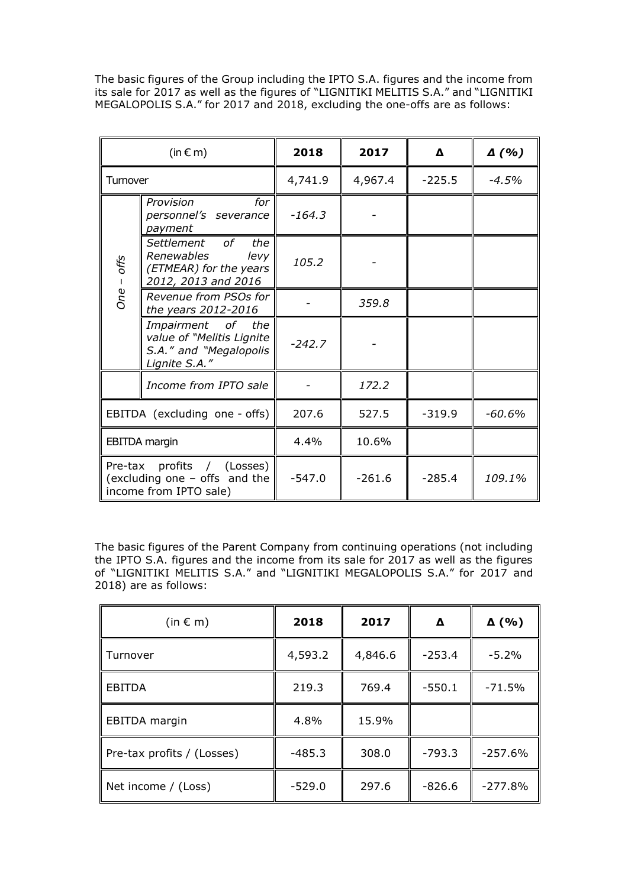The basic figures of the Group including the IPTO S.A. figures and the income from its sale for 2017 as well as the figures of "LIGNITIKI MELITIS S.A." and "LIGNITIKI MEGALOPOLIS S.A." for 2017 and 2018, excluding the one-offs are as follows:

|                     | (in $\epsilon$ m)                                                                                 | 2018     | 2017     | Δ        | $\Delta$ (%) |
|---------------------|---------------------------------------------------------------------------------------------------|----------|----------|----------|--------------|
| Tumover             |                                                                                                   | 4,741.9  | 4,967.4  | $-225.5$ | -4.5%        |
|                     | Provision<br>for<br>personnel's severance<br>payment                                              | $-164.3$ |          |          |              |
| offs<br>$\mathbf I$ | Settlement<br>of __<br>the<br>Renewables<br>levy<br>(ETMEAR) for the years<br>2012, 2013 and 2016 | 105.2    |          |          |              |
| One                 | Revenue from PSOs for<br>the years 2012-2016                                                      |          | 359.8    |          |              |
|                     | Impairment of the<br>value of "Melitis Lignite<br>S.A." and "Megalopolis<br>Lignite S.A."         | $-242.7$ |          |          |              |
|                     | Income from IPTO sale                                                                             |          | 172.2    |          |              |
|                     | EBITDA (excluding one - offs)                                                                     | 207.6    | 527.5    | $-319.9$ | -60.6%       |
|                     | <b>EBITDA</b> margin                                                                              | 4.4%     | 10.6%    |          |              |
|                     | Pre-tax profits / (Losses)<br>(excluding one - offs and the<br>income from IPTO sale)             | $-547.0$ | $-261.6$ | $-285.4$ | 109.1%       |

The basic figures of the Parent Company from continuing operations (not including the IPTO S.A. figures and the income from its sale for 2017 as well as the figures of "LIGNITIKI MELITIS S.A." and "LIGNITIKI MEGALOPOLIS S.A." for 2017 and 2018) are as follows:

| (in $\epsilon$ m)          | 2018     | 2017    | Δ        | $\Delta$ (%) |
|----------------------------|----------|---------|----------|--------------|
| Turnover                   | 4,593.2  | 4,846.6 | $-253.4$ | $-5.2%$      |
| <b>EBITDA</b>              | 219.3    | 769.4   | $-550.1$ | $-71.5%$     |
| EBITDA margin              | 4.8%     | 15.9%   |          |              |
| Pre-tax profits / (Losses) | $-485.3$ | 308.0   | $-793.3$ | $-257.6%$    |
| Net income / (Loss)        | $-529.0$ | 297.6   | $-826.6$ | $-277.8%$    |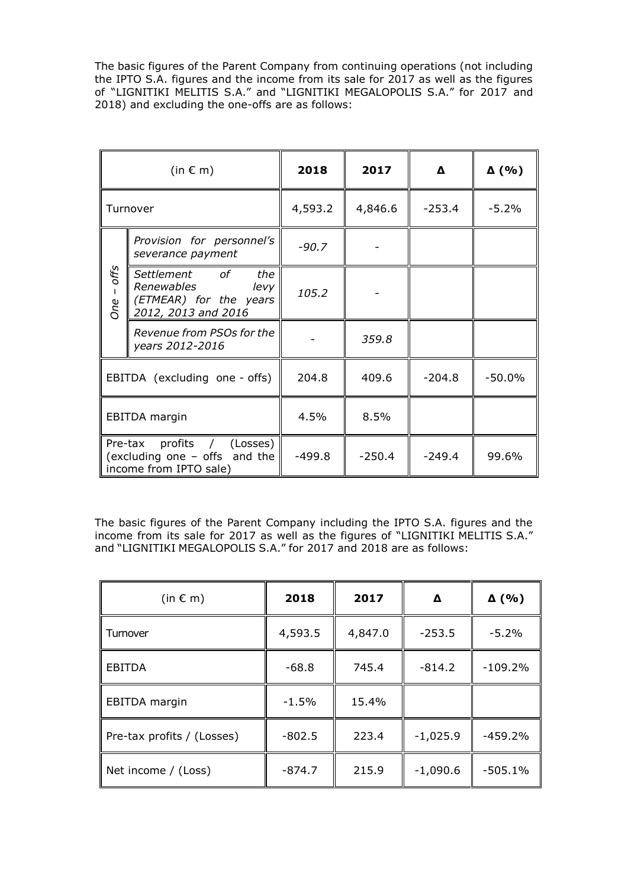The basic figures of the Parent Company from continuing operations (not including the IPTO S.A. figures and the income from its sale for 2017 as well as the figures of "LIGNITIKI MELITIS S.A." and "LIGNITIKI MEGALOPOLIS S.A." for 2017 and 2018) and excluding the one-offs are as follows:

|                             | (in $\epsilon$ m)                                                                        | 2018     | 2017     | Δ        | $\Delta$ (%) |
|-----------------------------|------------------------------------------------------------------------------------------|----------|----------|----------|--------------|
|                             | Turnover                                                                                 | 4,593.2  | 4,846.6  | $-253.4$ | $-5.2%$      |
|                             | Provision for personnel's<br>severance payment                                           | $-90.7$  |          |          |              |
| offs<br>$\mathbf{I}$<br>One | Settlement of the<br>Renewables<br>levy<br>(ETMEAR) for the years<br>2012, 2013 and 2016 | 105.2    |          |          |              |
|                             | Revenue from PSOs for the<br>years 2012-2016                                             |          | 359.8    |          |              |
|                             | EBITDA (excluding one - offs)                                                            | 204.8    | 409.6    | $-204.8$ | $-50.0\%$    |
|                             | EBITDA margin                                                                            | 4.5%     | 8.5%     |          |              |
|                             | Pre-tax profits / (Losses)<br>(excluding one - offs and the<br>income from IPTO sale)    | $-499.8$ | $-250.4$ | $-249.4$ | 99.6%        |

The basic figures of the Parent Company including the IPTO S.A. figures and the income from its sale for 2017 as well as the figures of "LIGNITIKI MELITIS S.A." and "LIGNITIKI MEGALOPOLIS S.A." for 2017 and 2018 are as follows:

| (in $\in$ m)               | 2018     | 2017    | Δ          | $\Delta$ (%) |
|----------------------------|----------|---------|------------|--------------|
| Tumover                    | 4,593.5  | 4,847.0 | $-253.5$   | $-5.2%$      |
| <b>EBITDA</b>              | $-68.8$  | 745.4   | $-814.2$   | $-109.2%$    |
| <b>EBITDA</b> margin       | $-1.5%$  | 15.4%   |            |              |
| Pre-tax profits / (Losses) | $-802.5$ | 223.4   | $-1,025.9$ | $-459.2%$    |
| Net income / (Loss)        | $-874.7$ | 215.9   | $-1,090.6$ | $-505.1%$    |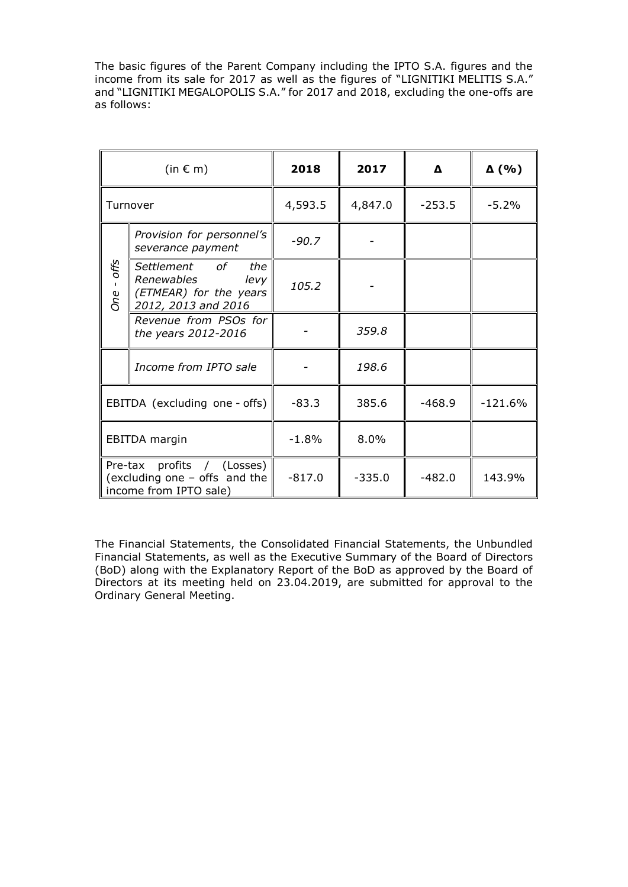The basic figures of the Parent Company including the IPTO S.A. figures and the income from its sale for 2017 as well as the figures of "LIGNITIKI MELITIS S.A." and "LIGNITIKI MEGALOPOLIS S.A." for 2017 and 2018, excluding the one-offs are as follows:

|            | (in $\in$ m)                                                                          | 2018     | 2017     | Δ        | $\Delta$ (%) |
|------------|---------------------------------------------------------------------------------------|----------|----------|----------|--------------|
|            | Turnover                                                                              | 4,593.5  | 4,847.0  | $-253.5$ | $-5.2%$      |
|            | Provision for personnel's<br>severance payment                                        | $-90.7$  |          |          |              |
| One - offs | Settlement of the<br>Renewables levy<br>(ETMEAR) for the years<br>2012, 2013 and 2016 | 105.2    |          |          |              |
|            | Revenue from PSOs for<br>the years 2012-2016                                          |          | 359.8    |          |              |
|            | Income from IPTO sale                                                                 |          | 198.6    |          |              |
|            | EBITDA (excluding one - offs)                                                         | $-83.3$  | 385.6    | $-468.9$ | $-121.6%$    |
|            | EBITDA margin                                                                         | $-1.8%$  | 8.0%     |          |              |
|            | Pre-tax profits / (Losses)<br>(excluding one - offs and the<br>income from IPTO sale) | $-817.0$ | $-335.0$ | $-482.0$ | 143.9%       |

The Financial Statements, the Consolidated Financial Statements, the Unbundled Financial Statements, as well as the Executive Summary of the Board of Directors (BoD) along with the Explanatory Report of the BoD as approved by the Board of Directors at its meeting held on 23.04.2019, are submitted for approval to the Ordinary General Meeting.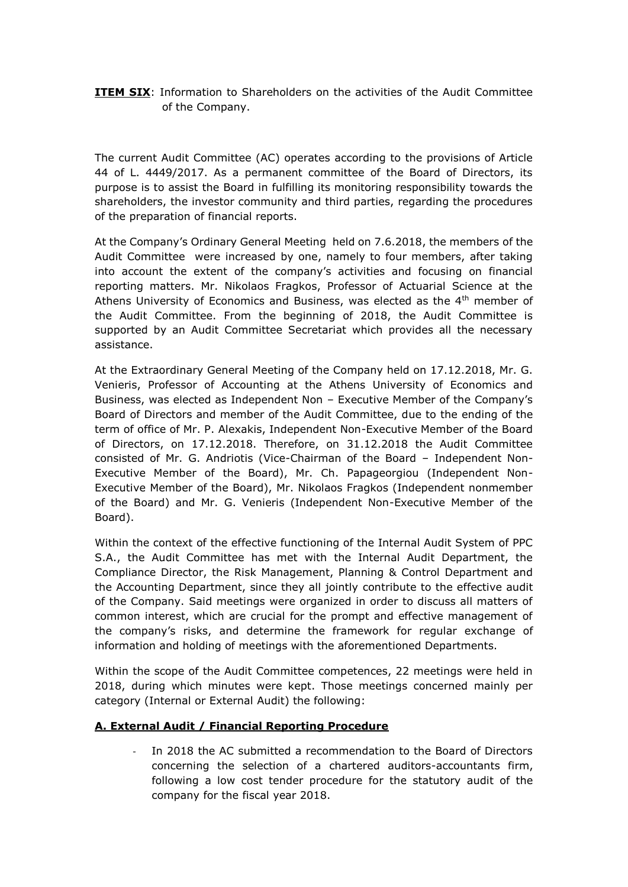## **ITEM SIX:** Information to Shareholders on the activities of the Audit Committee of the Company.

The current Audit Committee (AC) operates according to the provisions of Article 44 of L. 4449/2017. As a permanent committee of the Board of Directors, its purpose is to assist the Board in fulfilling its monitoring responsibility towards the shareholders, the investor community and third parties, regarding the procedures of the preparation of financial reports.

At the Company's Ordinary General Meeting held on 7.6.2018, the members of the Audit Committee were increased by one, namely to four members, after taking into account the extent of the company's activities and focusing on financial reporting matters. Mr. Nikolaos Fragkos, Professor of Actuarial Science at the Athens University of Economics and Business, was elected as the 4<sup>th</sup> member of the Audit Committee. From the beginning of 2018, the Audit Committee is supported by an Audit Committee Secretariat which provides all the necessary assistance.

At the Extraordinary General Meeting of the Company held on 17.12.2018, Mr. G. Venieris, Professor of Accounting at the Athens University of Economics and Business, was elected as Independent Non – Executive Member of the Company's Board of Directors and member of the Audit Committee, due to the ending of the term of office of Mr. P. Alexakis, Independent Non-Executive Member of the Board of Directors, on 17.12.2018. Therefore, on 31.12.2018 the Audit Committee consisted of Mr. G. Andriotis (Vice-Chairman of the Board – Independent Non-Executive Member of the Board), Mr. Ch. Papageorgiou (Independent Non-Executive Member of the Board), Mr. Nikolaos Fragkos (Independent nonmember of the Board) and Mr. G. Venieris (Independent Non-Executive Member of the Board).

Within the context of the effective functioning of the Internal Audit System of PPC S.A., the Audit Committee has met with the Internal Audit Department, the Compliance Director, the Risk Management, Planning & Control Department and the Accounting Department, since they all jointly contribute to the effective audit of the Company. Said meetings were organized in order to discuss all matters of common interest, which are crucial for the prompt and effective management of the company's risks, and determine the framework for regular exchange of information and holding of meetings with the aforementioned Departments.

Within the scope of the Audit Committee competences, 22 meetings were held in 2018, during which minutes were kept. Those meetings concerned mainly per category (Internal or External Audit) the following:

## **A. External Audit / Financial Reporting Procedure**

In 2018 the AC submitted a recommendation to the Board of Directors concerning the selection of a chartered auditors-accountants firm, following a low cost tender procedure for the statutory audit of the company for the fiscal year 2018.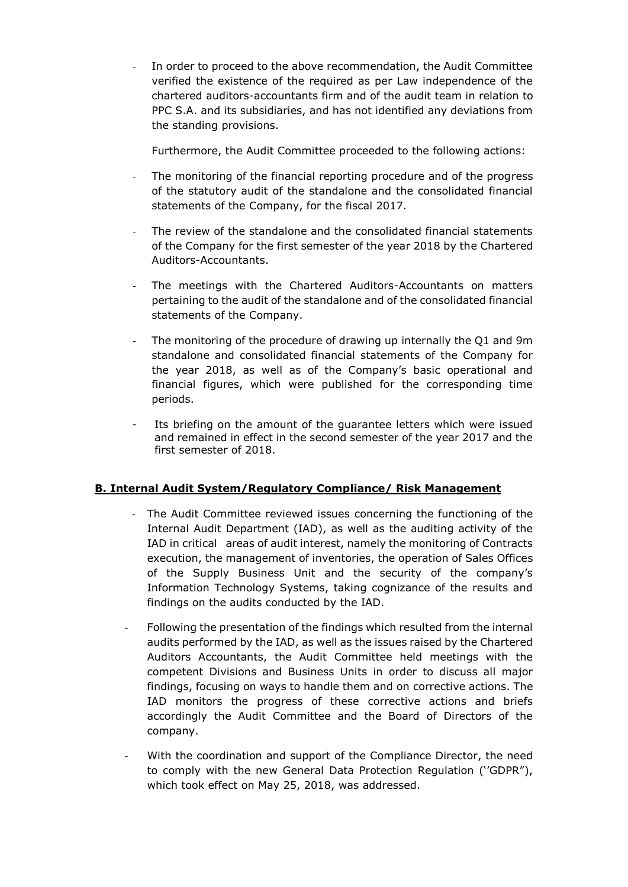In order to proceed to the above recommendation, the Audit Committee verified the existence of the required as per Law independence of the chartered auditors-accountants firm and of the audit team in relation to PPC S.A. and its subsidiaries, and has not identified any deviations from the standing provisions.

Furthermore, the Audit Committee proceeded to the following actions:

- The monitoring of the financial reporting procedure and of the progress of the statutory audit of the standalone and the consolidated financial statements of the Company, for the fiscal 2017.
- The review of the standalone and the consolidated financial statements of the Company for the first semester of the year 2018 by the Chartered Auditors-Accountants.
- The meetings with the Chartered Auditors-Accountants on matters pertaining to the audit of the standalone and of the consolidated financial statements of the Company.
- The monitoring of the procedure of drawing up internally the Q1 and 9m standalone and consolidated financial statements of the Company for the year 2018, as well as of the Company's basic operational and financial figures, which were published for the corresponding time periods.
- Its briefing on the amount of the guarantee letters which were issued and remained in effect in the second semester of the year 2017 and the first semester of 2018.

## **B. Internal Audit System/Regulatory Compliance/ Risk Management**

- The Audit Committee reviewed issues concerning the functioning of the Internal Audit Department (IAD), as well as the auditing activity of the IAD in critical areas of audit interest, namely the monitoring of Contracts execution, the management of inventories, the operation of Sales Offices of the Supply Business Unit and the security of the company's Information Technology Systems, taking cognizance of the results and findings on the audits conducted by the IAD.
- Following the presentation of the findings which resulted from the internal audits performed by the IAD, as well as the issues raised by the Chartered Auditors Accountants, the Audit Committee held meetings with the competent Divisions and Business Units in order to discuss all major findings, focusing on ways to handle them and on corrective actions. The IAD monitors the progress of these corrective actions and briefs accordingly the Audit Committee and the Board of Directors of the company.
- With the coordination and support of the Compliance Director, the need to comply with the new General Data Protection Regulation (''GDPR"), which took effect on May 25, 2018, was addressed.